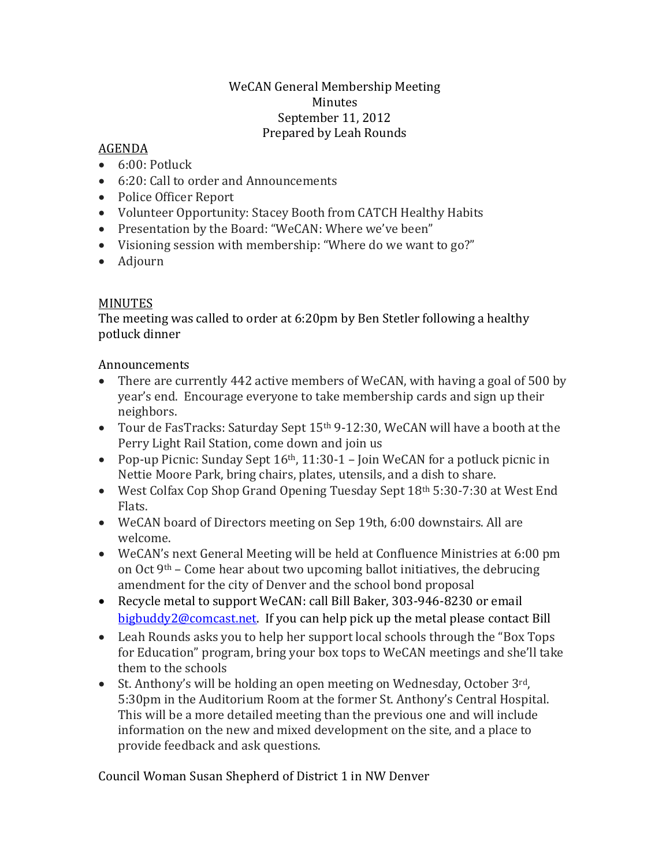## WeCAN General Membership Meeting Minutes September 11, 2012 Prepared by Leah Rounds

## AGENDA

- $\bullet$  6:00: Potluck
- 6:20: Call to order and Announcements
- Police Officer Report
- Volunteer Opportunity: Stacey Booth from CATCH Healthy Habits
- Presentation by the Board: "WeCAN: Where we've been"
- Visioning session with membership: "Where do we want to go?"
- Adjourn

## MINUTES

The meeting was called to order at 6:20pm by Ben Stetler following a healthy potluck dinner

## Announcements

- There are currently 442 active members of WeCAN, with having a goal of 500 by year's end. Encourage everyone to take membership cards and sign up their neighbors.
- Tour de FasTracks: Saturday Sept 15<sup>th</sup> 9-12:30, WeCAN will have a booth at the Perry Light Rail Station, come down and join us
- Pop-up Picnic: Sunday Sept  $16<sup>th</sup>$ ,  $11:30-1$  Join WeCAN for a potluck picnic in Nettie Moore Park, bring chairs, plates, utensils, and a dish to share.
- West Colfax Cop Shop Grand Opening Tuesday Sept 18th 5:30-7:30 at West End Flats.
- WeCAN board of Directors meeting on Sep 19th, 6:00 downstairs. All are welcome.
- WeCAN's next General Meeting will be held at Confluence Ministries at 6:00 pm on Oct  $9<sup>th</sup>$  – Come hear about two upcoming ballot initiatives, the debrucing amendment for the city of Denver and the school bond proposal
- Recycle metal to support WeCAN: call Bill Baker, 303-946-8230 or email [bigbuddy2@comcast.net.](mailto:bigbuddy2@comcast.net) If you can help pick up the metal please contact Bill
- Leah Rounds asks you to help her support local schools through the "Box Tops for Education" program, bring your box tops to WeCAN meetings and she'll take them to the schools
- St. Anthony's will be holding an open meeting on Wednesday, October  $3^{rd}$ , 5:30pm in the Auditorium Room at the former St. Anthony's Central Hospital. This will be a more detailed meeting than the previous one and will include information on the new and mixed development on the site, and a place to provide feedback and ask questions.

Council Woman Susan Shepherd of District 1 in NW Denver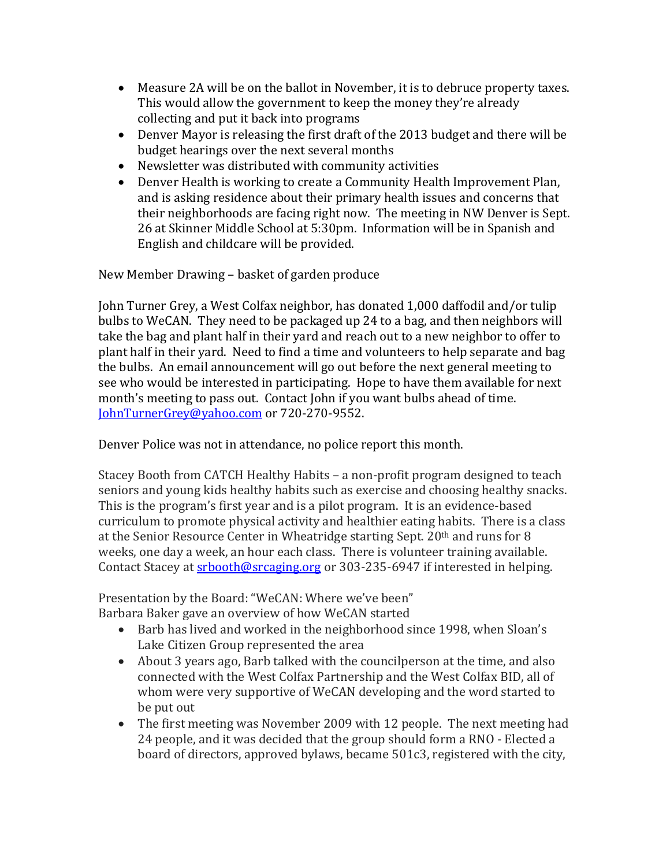- Measure 2A will be on the ballot in November, it is to debruce property taxes. This would allow the government to keep the money they're already collecting and put it back into programs
- Denver Mayor is releasing the first draft of the 2013 budget and there will be budget hearings over the next several months
- Newsletter was distributed with community activities
- Denver Health is working to create a Community Health Improvement Plan, and is asking residence about their primary health issues and concerns that their neighborhoods are facing right now. The meeting in NW Denver is Sept. 26 at Skinner Middle School at 5:30pm. Information will be in Spanish and English and childcare will be provided.

New Member Drawing – basket of garden produce

John Turner Grey, a West Colfax neighbor, has donated 1,000 daffodil and/or tulip bulbs to WeCAN. They need to be packaged up 24 to a bag, and then neighbors will take the bag and plant half in their yard and reach out to a new neighbor to offer to plant half in their yard. Need to find a time and volunteers to help separate and bag the bulbs. An email announcement will go out before the next general meeting to see who would be interested in participating. Hope to have them available for next month's meeting to pass out. Contact John if you want bulbs ahead of time. [JohnTurnerGrey@yahoo.com](mailto:JohnTurnerGrey@yahoo.com) or 720-270-9552.

Denver Police was not in attendance, no police report this month.

Stacey Booth from CATCH Healthy Habits – a non-profit program designed to teach seniors and young kids healthy habits such as exercise and choosing healthy snacks. This is the program's first year and is a pilot program. It is an evidence-based curriculum to promote physical activity and healthier eating habits. There is a class at the Senior Resource Center in Wheatridge starting Sept. 20th and runs for 8 weeks, one day a week, an hour each class. There is volunteer training available. Contact Stacey at [srbooth@srcaging.org](mailto:srbooth@srcaging.org) or 303-235-6947 if interested in helping.

Presentation by the Board: "WeCAN: Where we've been" Barbara Baker gave an overview of how WeCAN started

- Barb has lived and worked in the neighborhood since 1998, when Sloan's Lake Citizen Group represented the area
- About 3 years ago, Barb talked with the councilperson at the time, and also connected with the West Colfax Partnership and the West Colfax BID, all of whom were very supportive of WeCAN developing and the word started to be put out
- The first meeting was November 2009 with 12 people. The next meeting had 24 people, and it was decided that the group should form a RNO - Elected a board of directors, approved bylaws, became 501c3, registered with the city,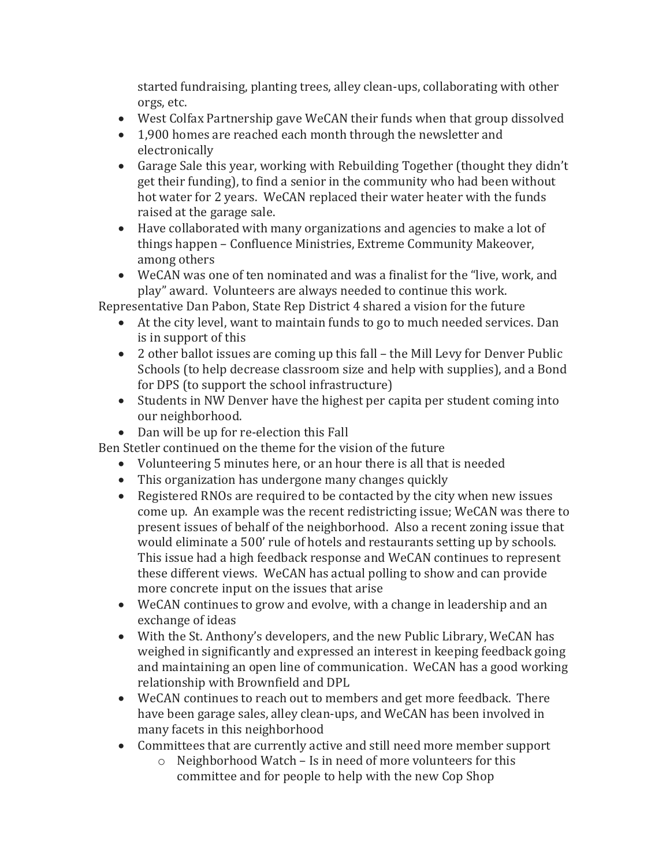started fundraising, planting trees, alley clean-ups, collaborating with other orgs, etc.

- West Colfax Partnership gave WeCAN their funds when that group dissolved
- 1,900 homes are reached each month through the newsletter and electronically
- Garage Sale this year, working with Rebuilding Together (thought they didn't get their funding), to find a senior in the community who had been without hot water for 2 years. WeCAN replaced their water heater with the funds raised at the garage sale.
- Have collaborated with many organizations and agencies to make a lot of things happen – Confluence Ministries, Extreme Community Makeover, among others
- WeCAN was one of ten nominated and was a finalist for the "live, work, and play" award. Volunteers are always needed to continue this work.

Representative Dan Pabon, State Rep District 4 shared a vision for the future

- At the city level, want to maintain funds to go to much needed services. Dan is in support of this
- 2 other ballot issues are coming up this fall the Mill Levy for Denver Public Schools (to help decrease classroom size and help with supplies), and a Bond for DPS (to support the school infrastructure)
- Students in NW Denver have the highest per capita per student coming into our neighborhood.
- Dan will be up for re-election this Fall

Ben Stetler continued on the theme for the vision of the future

- Volunteering 5 minutes here, or an hour there is all that is needed
- This organization has undergone many changes quickly
- Registered RNOs are required to be contacted by the city when new issues come up. An example was the recent redistricting issue; WeCAN was there to present issues of behalf of the neighborhood. Also a recent zoning issue that would eliminate a 500' rule of hotels and restaurants setting up by schools. This issue had a high feedback response and WeCAN continues to represent these different views. WeCAN has actual polling to show and can provide more concrete input on the issues that arise
- WeCAN continues to grow and evolve, with a change in leadership and an exchange of ideas
- With the St. Anthony's developers, and the new Public Library, WeCAN has weighed in significantly and expressed an interest in keeping feedback going and maintaining an open line of communication. WeCAN has a good working relationship with Brownfield and DPL
- WeCAN continues to reach out to members and get more feedback. There have been garage sales, alley clean-ups, and WeCAN has been involved in many facets in this neighborhood
- Committees that are currently active and still need more member support
	- o Neighborhood Watch Is in need of more volunteers for this committee and for people to help with the new Cop Shop